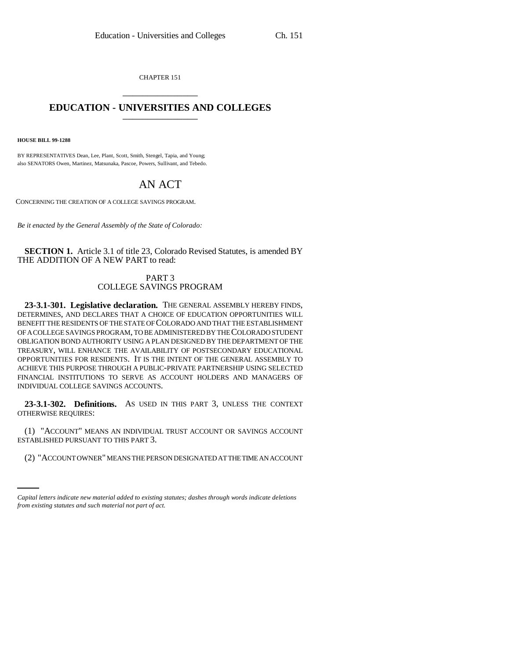CHAPTER 151 \_\_\_\_\_\_\_\_\_\_\_\_\_\_\_

## **EDUCATION - UNIVERSITIES AND COLLEGES** \_\_\_\_\_\_\_\_\_\_\_\_\_\_\_

**HOUSE BILL 99-1288** 

BY REPRESENTATIVES Dean, Lee, Plant, Scott, Smith, Stengel, Tapia, and Young; also SENATORS Owen, Martinez, Matsunaka, Pascoe, Powers, Sullivant, and Tebedo.

## AN ACT

CONCERNING THE CREATION OF A COLLEGE SAVINGS PROGRAM.

*Be it enacted by the General Assembly of the State of Colorado:*

**SECTION 1.** Article 3.1 of title 23, Colorado Revised Statutes, is amended BY THE ADDITION OF A NEW PART to read:

## PART 3 COLLEGE SAVINGS PROGRAM

**23-3.1-301. Legislative declaration.** THE GENERAL ASSEMBLY HEREBY FINDS, DETERMINES, AND DECLARES THAT A CHOICE OF EDUCATION OPPORTUNITIES WILL BENEFIT THE RESIDENTS OF THE STATE OF COLORADO AND THAT THE ESTABLISHMENT OF A COLLEGE SAVINGS PROGRAM, TO BE ADMINISTERED BY THE COLORADO STUDENT OBLIGATION BOND AUTHORITY USING A PLAN DESIGNED BY THE DEPARTMENT OF THE TREASURY, WILL ENHANCE THE AVAILABILITY OF POSTSECONDARY EDUCATIONAL OPPORTUNITIES FOR RESIDENTS. IT IS THE INTENT OF THE GENERAL ASSEMBLY TO ACHIEVE THIS PURPOSE THROUGH A PUBLIC-PRIVATE PARTNERSHIP USING SELECTED FINANCIAL INSTITUTIONS TO SERVE AS ACCOUNT HOLDERS AND MANAGERS OF INDIVIDUAL COLLEGE SAVINGS ACCOUNTS.

**23-3.1-302. Definitions.** AS USED IN THIS PART 3, UNLESS THE CONTEXT OTHERWISE REQUIRES:

ESTABLISHED PURSUANT TO THIS PART 3. (1) "ACCOUNT" MEANS AN INDIVIDUAL TRUST ACCOUNT OR SAVINGS ACCOUNT

(2) "ACCOUNT OWNER" MEANS THE PERSON DESIGNATED AT THE TIME AN ACCOUNT

*Capital letters indicate new material added to existing statutes; dashes through words indicate deletions from existing statutes and such material not part of act.*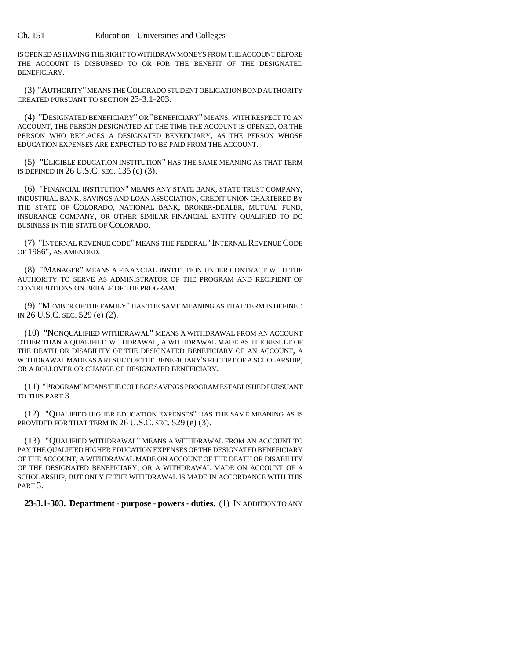IS OPENED AS HAVING THE RIGHT TO WITHDRAW MONEYS FROM THE ACCOUNT BEFORE THE ACCOUNT IS DISBURSED TO OR FOR THE BENEFIT OF THE DESIGNATED BENEFICIARY.

(3) "AUTHORITY" MEANS THE COLORADO STUDENT OBLIGATION BOND AUTHORITY CREATED PURSUANT TO SECTION 23-3.1-203.

(4) "DESIGNATED BENEFICIARY" OR "BENEFICIARY" MEANS, WITH RESPECT TO AN ACCOUNT, THE PERSON DESIGNATED AT THE TIME THE ACCOUNT IS OPENED, OR THE PERSON WHO REPLACES A DESIGNATED BENEFICIARY, AS THE PERSON WHOSE EDUCATION EXPENSES ARE EXPECTED TO BE PAID FROM THE ACCOUNT.

(5) "ELIGIBLE EDUCATION INSTITUTION" HAS THE SAME MEANING AS THAT TERM IS DEFINED IN 26 U.S.C. SEC. 135 (c) (3).

(6) "FINANCIAL INSTITUTION" MEANS ANY STATE BANK, STATE TRUST COMPANY, INDUSTRIAL BANK, SAVINGS AND LOAN ASSOCIATION, CREDIT UNION CHARTERED BY THE STATE OF COLORADO, NATIONAL BANK, BROKER-DEALER, MUTUAL FUND, INSURANCE COMPANY, OR OTHER SIMILAR FINANCIAL ENTITY QUALIFIED TO DO BUSINESS IN THE STATE OF COLORADO.

(7) "INTERNAL REVENUE CODE" MEANS THE FEDERAL "INTERNAL REVENUE CODE OF 1986", AS AMENDED.

(8) "MANAGER" MEANS A FINANCIAL INSTITUTION UNDER CONTRACT WITH THE AUTHORITY TO SERVE AS ADMINISTRATOR OF THE PROGRAM AND RECIPIENT OF CONTRIBUTIONS ON BEHALF OF THE PROGRAM.

(9) "MEMBER OF THE FAMILY" HAS THE SAME MEANING AS THAT TERM IS DEFINED IN 26 U.S.C. SEC. 529 (e) (2).

(10) "NONQUALIFIED WITHDRAWAL" MEANS A WITHDRAWAL FROM AN ACCOUNT OTHER THAN A QUALIFIED WITHDRAWAL, A WITHDRAWAL MADE AS THE RESULT OF THE DEATH OR DISABILITY OF THE DESIGNATED BENEFICIARY OF AN ACCOUNT, A WITHDRAWAL MADE AS A RESULT OF THE BENEFICIARY'S RECEIPT OF A SCHOLARSHIP, OR A ROLLOVER OR CHANGE OF DESIGNATED BENEFICIARY.

(11) "PROGRAM" MEANS THE COLLEGE SAVINGS PROGRAM ESTABLISHED PURSUANT TO THIS PART 3.

(12) "QUALIFIED HIGHER EDUCATION EXPENSES" HAS THE SAME MEANING AS IS PROVIDED FOR THAT TERM IN 26 U.S.C. SEC. 529 (e) (3).

(13) "QUALIFIED WITHDRAWAL" MEANS A WITHDRAWAL FROM AN ACCOUNT TO PAY THE QUALIFIED HIGHER EDUCATION EXPENSES OF THE DESIGNATED BENEFICIARY OF THE ACCOUNT, A WITHDRAWAL MADE ON ACCOUNT OF THE DEATH OR DISABILITY OF THE DESIGNATED BENEFICIARY, OR A WITHDRAWAL MADE ON ACCOUNT OF A SCHOLARSHIP, BUT ONLY IF THE WITHDRAWAL IS MADE IN ACCORDANCE WITH THIS PART 3.

**23-3.1-303. Department - purpose - powers - duties.** (1) IN ADDITION TO ANY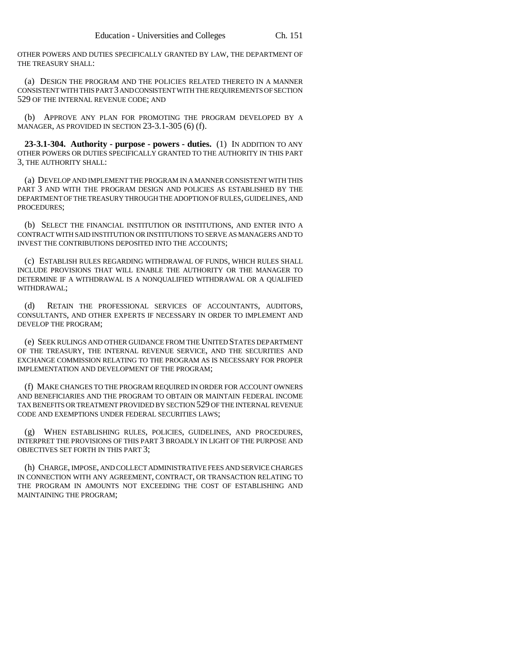OTHER POWERS AND DUTIES SPECIFICALLY GRANTED BY LAW, THE DEPARTMENT OF THE TREASURY SHALL:

(a) DESIGN THE PROGRAM AND THE POLICIES RELATED THERETO IN A MANNER CONSISTENT WITH THIS PART 3 AND CONSISTENT WITH THE REQUIREMENTS OF SECTION 529 OF THE INTERNAL REVENUE CODE; AND

(b) APPROVE ANY PLAN FOR PROMOTING THE PROGRAM DEVELOPED BY A MANAGER, AS PROVIDED IN SECTION 23-3.1-305 (6) (f).

**23-3.1-304. Authority - purpose - powers - duties.** (1) IN ADDITION TO ANY OTHER POWERS OR DUTIES SPECIFICALLY GRANTED TO THE AUTHORITY IN THIS PART 3, THE AUTHORITY SHALL:

(a) DEVELOP AND IMPLEMENT THE PROGRAM IN A MANNER CONSISTENT WITH THIS PART 3 AND WITH THE PROGRAM DESIGN AND POLICIES AS ESTABLISHED BY THE DEPARTMENT OF THE TREASURY THROUGH THE ADOPTION OF RULES, GUIDELINES, AND PROCEDURES;

(b) SELECT THE FINANCIAL INSTITUTION OR INSTITUTIONS, AND ENTER INTO A CONTRACT WITH SAID INSTITUTION OR INSTITUTIONS TO SERVE AS MANAGERS AND TO INVEST THE CONTRIBUTIONS DEPOSITED INTO THE ACCOUNTS;

(c) ESTABLISH RULES REGARDING WITHDRAWAL OF FUNDS, WHICH RULES SHALL INCLUDE PROVISIONS THAT WILL ENABLE THE AUTHORITY OR THE MANAGER TO DETERMINE IF A WITHDRAWAL IS A NONQUALIFIED WITHDRAWAL OR A QUALIFIED WITHDRAWAL;

(d) RETAIN THE PROFESSIONAL SERVICES OF ACCOUNTANTS, AUDITORS, CONSULTANTS, AND OTHER EXPERTS IF NECESSARY IN ORDER TO IMPLEMENT AND DEVELOP THE PROGRAM;

(e) SEEK RULINGS AND OTHER GUIDANCE FROM THE UNITED STATES DEPARTMENT OF THE TREASURY, THE INTERNAL REVENUE SERVICE, AND THE SECURITIES AND EXCHANGE COMMISSION RELATING TO THE PROGRAM AS IS NECESSARY FOR PROPER IMPLEMENTATION AND DEVELOPMENT OF THE PROGRAM;

(f) MAKE CHANGES TO THE PROGRAM REQUIRED IN ORDER FOR ACCOUNT OWNERS AND BENEFICIARIES AND THE PROGRAM TO OBTAIN OR MAINTAIN FEDERAL INCOME TAX BENEFITS OR TREATMENT PROVIDED BY SECTION 529 OF THE INTERNAL REVENUE CODE AND EXEMPTIONS UNDER FEDERAL SECURITIES LAWS;

(g) WHEN ESTABLISHING RULES, POLICIES, GUIDELINES, AND PROCEDURES, INTERPRET THE PROVISIONS OF THIS PART 3 BROADLY IN LIGHT OF THE PURPOSE AND OBJECTIVES SET FORTH IN THIS PART 3;

(h) CHARGE, IMPOSE, AND COLLECT ADMINISTRATIVE FEES AND SERVICE CHARGES IN CONNECTION WITH ANY AGREEMENT, CONTRACT, OR TRANSACTION RELATING TO THE PROGRAM IN AMOUNTS NOT EXCEEDING THE COST OF ESTABLISHING AND MAINTAINING THE PROGRAM;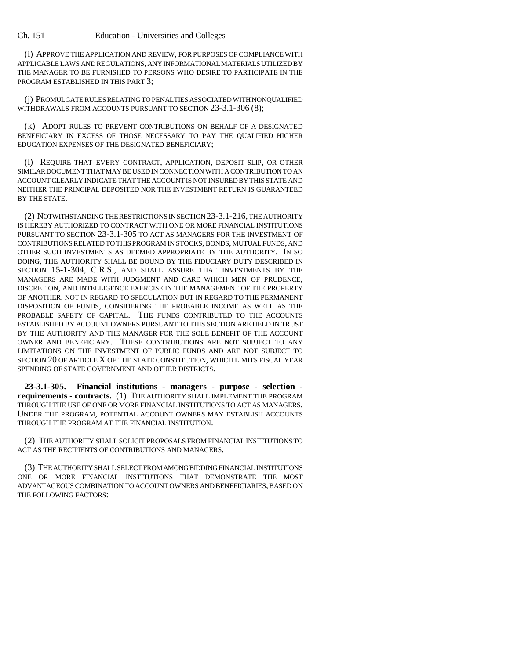(i) APPROVE THE APPLICATION AND REVIEW, FOR PURPOSES OF COMPLIANCE WITH APPLICABLE LAWS AND REGULATIONS, ANY INFORMATIONAL MATERIALS UTILIZED BY THE MANAGER TO BE FURNISHED TO PERSONS WHO DESIRE TO PARTICIPATE IN THE PROGRAM ESTABLISHED IN THIS PART 3;

(j) PROMULGATE RULES RELATING TO PENALTIES ASSOCIATED WITH NONQUALIFIED WITHDRAWALS FROM ACCOUNTS PURSUANT TO SECTION 23-3.1-306 (8);

(k) ADOPT RULES TO PREVENT CONTRIBUTIONS ON BEHALF OF A DESIGNATED BENEFICIARY IN EXCESS OF THOSE NECESSARY TO PAY THE QUALIFIED HIGHER EDUCATION EXPENSES OF THE DESIGNATED BENEFICIARY;

(l) REQUIRE THAT EVERY CONTRACT, APPLICATION, DEPOSIT SLIP, OR OTHER SIMILAR DOCUMENT THAT MAY BE USED IN CONNECTION WITH A CONTRIBUTION TO AN ACCOUNT CLEARLY INDICATE THAT THE ACCOUNT IS NOT INSURED BY THIS STATE AND NEITHER THE PRINCIPAL DEPOSITED NOR THE INVESTMENT RETURN IS GUARANTEED BY THE STATE.

(2) NOTWITHSTANDING THE RESTRICTIONS IN SECTION 23-3.1-216, THE AUTHORITY IS HEREBY AUTHORIZED TO CONTRACT WITH ONE OR MORE FINANCIAL INSTITUTIONS PURSUANT TO SECTION 23-3.1-305 TO ACT AS MANAGERS FOR THE INVESTMENT OF CONTRIBUTIONS RELATED TO THIS PROGRAM IN STOCKS, BONDS, MUTUAL FUNDS, AND OTHER SUCH INVESTMENTS AS DEEMED APPROPRIATE BY THE AUTHORITY. IN SO DOING, THE AUTHORITY SHALL BE BOUND BY THE FIDUCIARY DUTY DESCRIBED IN SECTION 15-1-304, C.R.S., AND SHALL ASSURE THAT INVESTMENTS BY THE MANAGERS ARE MADE WITH JUDGMENT AND CARE WHICH MEN OF PRUDENCE, DISCRETION, AND INTELLIGENCE EXERCISE IN THE MANAGEMENT OF THE PROPERTY OF ANOTHER, NOT IN REGARD TO SPECULATION BUT IN REGARD TO THE PERMANENT DISPOSITION OF FUNDS, CONSIDERING THE PROBABLE INCOME AS WELL AS THE PROBABLE SAFETY OF CAPITAL. THE FUNDS CONTRIBUTED TO THE ACCOUNTS ESTABLISHED BY ACCOUNT OWNERS PURSUANT TO THIS SECTION ARE HELD IN TRUST BY THE AUTHORITY AND THE MANAGER FOR THE SOLE BENEFIT OF THE ACCOUNT OWNER AND BENEFICIARY. THESE CONTRIBUTIONS ARE NOT SUBJECT TO ANY LIMITATIONS ON THE INVESTMENT OF PUBLIC FUNDS AND ARE NOT SUBJECT TO SECTION 20 OF ARTICLE X OF THE STATE CONSTITUTION, WHICH LIMITS FISCAL YEAR SPENDING OF STATE GOVERNMENT AND OTHER DISTRICTS.

**23-3.1-305. Financial institutions - managers - purpose - selection requirements - contracts.** (1) THE AUTHORITY SHALL IMPLEMENT THE PROGRAM THROUGH THE USE OF ONE OR MORE FINANCIAL INSTITUTIONS TO ACT AS MANAGERS. UNDER THE PROGRAM, POTENTIAL ACCOUNT OWNERS MAY ESTABLISH ACCOUNTS THROUGH THE PROGRAM AT THE FINANCIAL INSTITUTION.

(2) THE AUTHORITY SHALL SOLICIT PROPOSALS FROM FINANCIAL INSTITUTIONS TO ACT AS THE RECIPIENTS OF CONTRIBUTIONS AND MANAGERS.

(3) THE AUTHORITY SHALL SELECT FROM AMONG BIDDING FINANCIAL INSTITUTIONS ONE OR MORE FINANCIAL INSTITUTIONS THAT DEMONSTRATE THE MOST ADVANTAGEOUS COMBINATION TO ACCOUNT OWNERS AND BENEFICIARIES, BASED ON THE FOLLOWING FACTORS: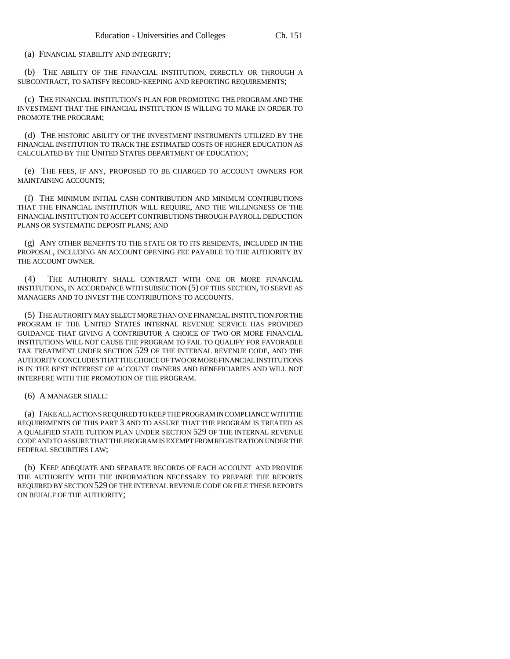(a) FINANCIAL STABILITY AND INTEGRITY;

(b) THE ABILITY OF THE FINANCIAL INSTITUTION, DIRECTLY OR THROUGH A SUBCONTRACT, TO SATISFY RECORD-KEEPING AND REPORTING REQUIREMENTS;

(c) THE FINANCIAL INSTITUTION'S PLAN FOR PROMOTING THE PROGRAM AND THE INVESTMENT THAT THE FINANCIAL INSTITUTION IS WILLING TO MAKE IN ORDER TO PROMOTE THE PROGRAM;

(d) THE HISTORIC ABILITY OF THE INVESTMENT INSTRUMENTS UTILIZED BY THE FINANCIAL INSTITUTION TO TRACK THE ESTIMATED COSTS OF HIGHER EDUCATION AS CALCULATED BY THE UNITED STATES DEPARTMENT OF EDUCATION;

(e) THE FEES, IF ANY, PROPOSED TO BE CHARGED TO ACCOUNT OWNERS FOR MAINTAINING ACCOUNTS;

(f) THE MINIMUM INITIAL CASH CONTRIBUTION AND MINIMUM CONTRIBUTIONS THAT THE FINANCIAL INSTITUTION WILL REQUIRE, AND THE WILLINGNESS OF THE FINANCIAL INSTITUTION TO ACCEPT CONTRIBUTIONS THROUGH PAYROLL DEDUCTION PLANS OR SYSTEMATIC DEPOSIT PLANS; AND

(g) ANY OTHER BENEFITS TO THE STATE OR TO ITS RESIDENTS, INCLUDED IN THE PROPOSAL, INCLUDING AN ACCOUNT OPENING FEE PAYABLE TO THE AUTHORITY BY THE ACCOUNT OWNER.

(4) THE AUTHORITY SHALL CONTRACT WITH ONE OR MORE FINANCIAL INSTITUTIONS, IN ACCORDANCE WITH SUBSECTION (5) OF THIS SECTION, TO SERVE AS MANAGERS AND TO INVEST THE CONTRIBUTIONS TO ACCOUNTS.

(5) THE AUTHORITY MAY SELECT MORE THAN ONE FINANCIAL INSTITUTION FOR THE PROGRAM IF THE UNITED STATES INTERNAL REVENUE SERVICE HAS PROVIDED GUIDANCE THAT GIVING A CONTRIBUTOR A CHOICE OF TWO OR MORE FINANCIAL INSTITUTIONS WILL NOT CAUSE THE PROGRAM TO FAIL TO QUALIFY FOR FAVORABLE TAX TREATMENT UNDER SECTION 529 OF THE INTERNAL REVENUE CODE, AND THE AUTHORITY CONCLUDES THAT THE CHOICE OF TWO OR MORE FINANCIAL INSTITUTIONS IS IN THE BEST INTEREST OF ACCOUNT OWNERS AND BENEFICIARIES AND WILL NOT INTERFERE WITH THE PROMOTION OF THE PROGRAM.

(6) A MANAGER SHALL:

(a) TAKE ALL ACTIONS REQUIRED TO KEEP THE PROGRAM IN COMPLIANCE WITH THE REQUIREMENTS OF THIS PART 3 AND TO ASSURE THAT THE PROGRAM IS TREATED AS A QUALIFIED STATE TUITION PLAN UNDER SECTION 529 OF THE INTERNAL REVENUE CODE AND TO ASSURE THAT THE PROGRAM IS EXEMPT FROM REGISTRATION UNDER THE FEDERAL SECURITIES LAW;

(b) KEEP ADEQUATE AND SEPARATE RECORDS OF EACH ACCOUNT AND PROVIDE THE AUTHORITY WITH THE INFORMATION NECESSARY TO PREPARE THE REPORTS REQUIRED BY SECTION 529 OF THE INTERNAL REVENUE CODE OR FILE THESE REPORTS ON BEHALF OF THE AUTHORITY;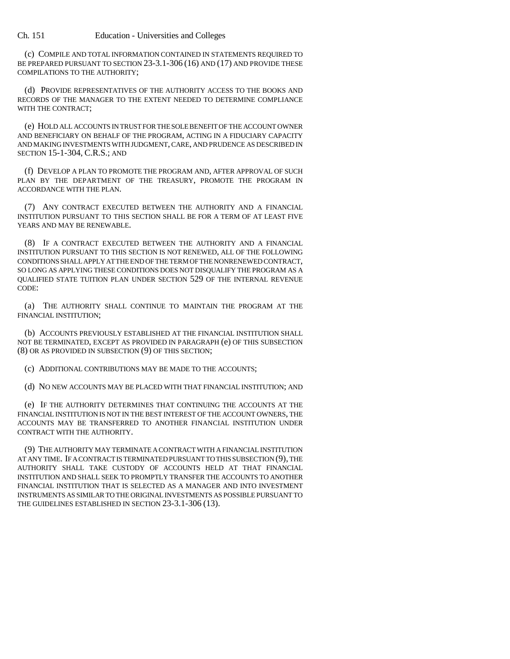Ch. 151 Education - Universities and Colleges

(c) COMPILE AND TOTAL INFORMATION CONTAINED IN STATEMENTS REQUIRED TO BE PREPARED PURSUANT TO SECTION 23-3.1-306 (16) AND (17) AND PROVIDE THESE COMPILATIONS TO THE AUTHORITY;

(d) PROVIDE REPRESENTATIVES OF THE AUTHORITY ACCESS TO THE BOOKS AND RECORDS OF THE MANAGER TO THE EXTENT NEEDED TO DETERMINE COMPLIANCE WITH THE CONTRACT;

(e) HOLD ALL ACCOUNTS IN TRUST FOR THE SOLE BENEFIT OF THE ACCOUNT OWNER AND BENEFICIARY ON BEHALF OF THE PROGRAM, ACTING IN A FIDUCIARY CAPACITY AND MAKING INVESTMENTS WITH JUDGMENT, CARE, AND PRUDENCE AS DESCRIBED IN SECTION 15-1-304, C.R.S.; AND

(f) DEVELOP A PLAN TO PROMOTE THE PROGRAM AND, AFTER APPROVAL OF SUCH PLAN BY THE DEPARTMENT OF THE TREASURY, PROMOTE THE PROGRAM IN ACCORDANCE WITH THE PLAN.

(7) ANY CONTRACT EXECUTED BETWEEN THE AUTHORITY AND A FINANCIAL INSTITUTION PURSUANT TO THIS SECTION SHALL BE FOR A TERM OF AT LEAST FIVE YEARS AND MAY BE RENEWABLE.

(8) IF A CONTRACT EXECUTED BETWEEN THE AUTHORITY AND A FINANCIAL INSTITUTION PURSUANT TO THIS SECTION IS NOT RENEWED, ALL OF THE FOLLOWING CONDITIONS SHALL APPLY AT THE END OF THE TERM OF THE NONRENEWED CONTRACT, SO LONG AS APPLYING THESE CONDITIONS DOES NOT DISQUALIFY THE PROGRAM AS A QUALIFIED STATE TUITION PLAN UNDER SECTION 529 OF THE INTERNAL REVENUE CODE:

(a) THE AUTHORITY SHALL CONTINUE TO MAINTAIN THE PROGRAM AT THE FINANCIAL INSTITUTION;

(b) ACCOUNTS PREVIOUSLY ESTABLISHED AT THE FINANCIAL INSTITUTION SHALL NOT BE TERMINATED, EXCEPT AS PROVIDED IN PARAGRAPH (e) OF THIS SUBSECTION (8) OR AS PROVIDED IN SUBSECTION (9) OF THIS SECTION;

(c) ADDITIONAL CONTRIBUTIONS MAY BE MADE TO THE ACCOUNTS;

(d) NO NEW ACCOUNTS MAY BE PLACED WITH THAT FINANCIAL INSTITUTION; AND

(e) IF THE AUTHORITY DETERMINES THAT CONTINUING THE ACCOUNTS AT THE FINANCIAL INSTITUTION IS NOT IN THE BEST INTEREST OF THE ACCOUNT OWNERS, THE ACCOUNTS MAY BE TRANSFERRED TO ANOTHER FINANCIAL INSTITUTION UNDER CONTRACT WITH THE AUTHORITY.

(9) THE AUTHORITY MAY TERMINATE A CONTRACT WITH A FINANCIAL INSTITUTION AT ANY TIME. IF A CONTRACT IS TERMINATED PURSUANT TO THIS SUBSECTION (9), THE AUTHORITY SHALL TAKE CUSTODY OF ACCOUNTS HELD AT THAT FINANCIAL INSTITUTION AND SHALL SEEK TO PROMPTLY TRANSFER THE ACCOUNTS TO ANOTHER FINANCIAL INSTITUTION THAT IS SELECTED AS A MANAGER AND INTO INVESTMENT INSTRUMENTS AS SIMILAR TO THE ORIGINAL INVESTMENTS AS POSSIBLE PURSUANT TO THE GUIDELINES ESTABLISHED IN SECTION 23-3.1-306 (13).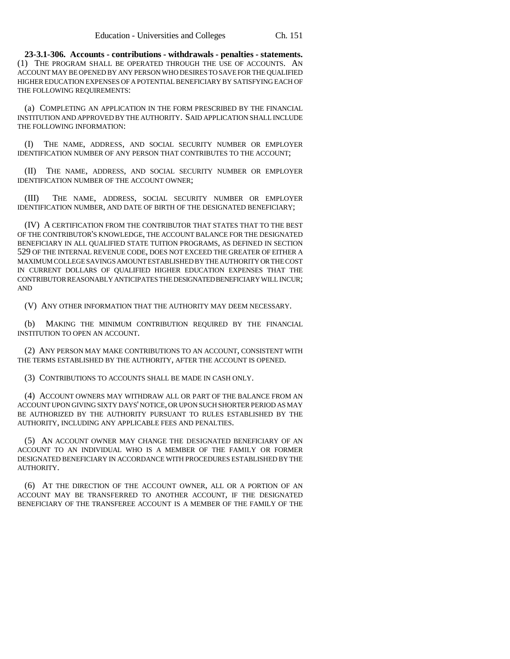**23-3.1-306. Accounts - contributions - withdrawals - penalties - statements.** (1) THE PROGRAM SHALL BE OPERATED THROUGH THE USE OF ACCOUNTS. AN ACCOUNT MAY BE OPENED BY ANY PERSON WHO DESIRES TO SAVE FOR THE QUALIFIED HIGHER EDUCATION EXPENSES OF A POTENTIAL BENEFICIARY BY SATISFYING EACH OF THE FOLLOWING REQUIREMENTS:

(a) COMPLETING AN APPLICATION IN THE FORM PRESCRIBED BY THE FINANCIAL INSTITUTION AND APPROVED BY THE AUTHORITY. SAID APPLICATION SHALL INCLUDE THE FOLLOWING INFORMATION:

(I) THE NAME, ADDRESS, AND SOCIAL SECURITY NUMBER OR EMPLOYER IDENTIFICATION NUMBER OF ANY PERSON THAT CONTRIBUTES TO THE ACCOUNT;

(II) THE NAME, ADDRESS, AND SOCIAL SECURITY NUMBER OR EMPLOYER IDENTIFICATION NUMBER OF THE ACCOUNT OWNER;

(III) THE NAME, ADDRESS, SOCIAL SECURITY NUMBER OR EMPLOYER IDENTIFICATION NUMBER, AND DATE OF BIRTH OF THE DESIGNATED BENEFICIARY;

(IV) A CERTIFICATION FROM THE CONTRIBUTOR THAT STATES THAT TO THE BEST OF THE CONTRIBUTOR'S KNOWLEDGE, THE ACCOUNT BALANCE FOR THE DESIGNATED BENEFICIARY IN ALL QUALIFIED STATE TUITION PROGRAMS, AS DEFINED IN SECTION 529 OF THE INTERNAL REVENUE CODE, DOES NOT EXCEED THE GREATER OF EITHER A MAXIMUM COLLEGE SAVINGS AMOUNT ESTABLISHED BY THE AUTHORITY OR THE COST IN CURRENT DOLLARS OF QUALIFIED HIGHER EDUCATION EXPENSES THAT THE CONTRIBUTOR REASONABLY ANTICIPATES THE DESIGNATED BENEFICIARY WILL INCUR; AND

(V) ANY OTHER INFORMATION THAT THE AUTHORITY MAY DEEM NECESSARY.

(b) MAKING THE MINIMUM CONTRIBUTION REQUIRED BY THE FINANCIAL INSTITUTION TO OPEN AN ACCOUNT.

(2) ANY PERSON MAY MAKE CONTRIBUTIONS TO AN ACCOUNT, CONSISTENT WITH THE TERMS ESTABLISHED BY THE AUTHORITY, AFTER THE ACCOUNT IS OPENED.

(3) CONTRIBUTIONS TO ACCOUNTS SHALL BE MADE IN CASH ONLY.

(4) ACCOUNT OWNERS MAY WITHDRAW ALL OR PART OF THE BALANCE FROM AN ACCOUNT UPON GIVING SIXTY DAYS' NOTICE, OR UPON SUCH SHORTER PERIOD AS MAY BE AUTHORIZED BY THE AUTHORITY PURSUANT TO RULES ESTABLISHED BY THE AUTHORITY, INCLUDING ANY APPLICABLE FEES AND PENALTIES.

(5) AN ACCOUNT OWNER MAY CHANGE THE DESIGNATED BENEFICIARY OF AN ACCOUNT TO AN INDIVIDUAL WHO IS A MEMBER OF THE FAMILY OR FORMER DESIGNATED BENEFICIARY IN ACCORDANCE WITH PROCEDURES ESTABLISHED BY THE AUTHORITY.

(6) AT THE DIRECTION OF THE ACCOUNT OWNER, ALL OR A PORTION OF AN ACCOUNT MAY BE TRANSFERRED TO ANOTHER ACCOUNT, IF THE DESIGNATED BENEFICIARY OF THE TRANSFEREE ACCOUNT IS A MEMBER OF THE FAMILY OF THE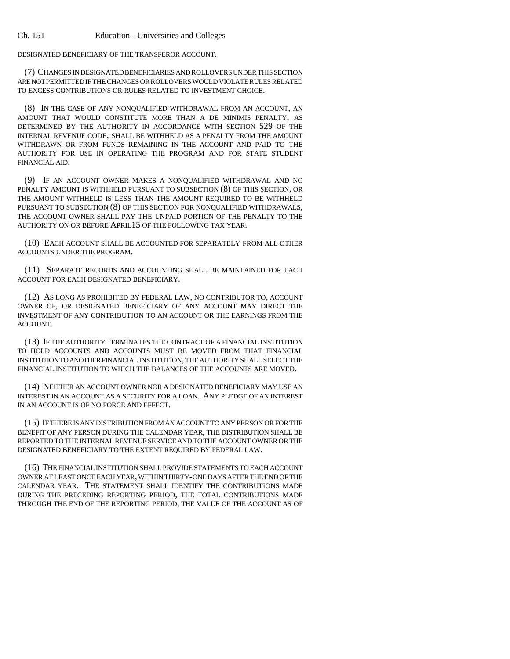DESIGNATED BENEFICIARY OF THE TRANSFEROR ACCOUNT.

(7) CHANGES IN DESIGNATED BENEFICIARIES AND ROLLOVERS UNDER THIS SECTION ARE NOT PERMITTED IF THE CHANGES OR ROLLOVERS WOULD VIOLATE RULES RELATED TO EXCESS CONTRIBUTIONS OR RULES RELATED TO INVESTMENT CHOICE.

(8) IN THE CASE OF ANY NONQUALIFIED WITHDRAWAL FROM AN ACCOUNT, AN AMOUNT THAT WOULD CONSTITUTE MORE THAN A DE MINIMIS PENALTY, AS DETERMINED BY THE AUTHORITY IN ACCORDANCE WITH SECTION 529 OF THE INTERNAL REVENUE CODE, SHALL BE WITHHELD AS A PENALTY FROM THE AMOUNT WITHDRAWN OR FROM FUNDS REMAINING IN THE ACCOUNT AND PAID TO THE AUTHORITY FOR USE IN OPERATING THE PROGRAM AND FOR STATE STUDENT FINANCIAL AID.

(9) IF AN ACCOUNT OWNER MAKES A NONQUALIFIED WITHDRAWAL AND NO PENALTY AMOUNT IS WITHHELD PURSUANT TO SUBSECTION (8) OF THIS SECTION, OR THE AMOUNT WITHHELD IS LESS THAN THE AMOUNT REQUIRED TO BE WITHHELD PURSUANT TO SUBSECTION (8) OF THIS SECTION FOR NONQUALIFIED WITHDRAWALS, THE ACCOUNT OWNER SHALL PAY THE UNPAID PORTION OF THE PENALTY TO THE AUTHORITY ON OR BEFORE APRIL15 OF THE FOLLOWING TAX YEAR.

(10) EACH ACCOUNT SHALL BE ACCOUNTED FOR SEPARATELY FROM ALL OTHER ACCOUNTS UNDER THE PROGRAM.

(11) SEPARATE RECORDS AND ACCOUNTING SHALL BE MAINTAINED FOR EACH ACCOUNT FOR EACH DESIGNATED BENEFICIARY.

(12) AS LONG AS PROHIBITED BY FEDERAL LAW, NO CONTRIBUTOR TO, ACCOUNT OWNER OF, OR DESIGNATED BENEFICIARY OF ANY ACCOUNT MAY DIRECT THE INVESTMENT OF ANY CONTRIBUTION TO AN ACCOUNT OR THE EARNINGS FROM THE ACCOUNT.

(13) IF THE AUTHORITY TERMINATES THE CONTRACT OF A FINANCIAL INSTITUTION TO HOLD ACCOUNTS AND ACCOUNTS MUST BE MOVED FROM THAT FINANCIAL INSTITUTION TO ANOTHER FINANCIAL INSTITUTION, THE AUTHORITY SHALL SELECT THE FINANCIAL INSTITUTION TO WHICH THE BALANCES OF THE ACCOUNTS ARE MOVED.

(14) NEITHER AN ACCOUNT OWNER NOR A DESIGNATED BENEFICIARY MAY USE AN INTEREST IN AN ACCOUNT AS A SECURITY FOR A LOAN. ANY PLEDGE OF AN INTEREST IN AN ACCOUNT IS OF NO FORCE AND EFFECT.

(15) IF THERE IS ANY DISTRIBUTION FROM AN ACCOUNT TO ANY PERSON OR FOR THE BENEFIT OF ANY PERSON DURING THE CALENDAR YEAR, THE DISTRIBUTION SHALL BE REPORTED TO THE INTERNAL REVENUE SERVICE AND TO THE ACCOUNT OWNER OR THE DESIGNATED BENEFICIARY TO THE EXTENT REQUIRED BY FEDERAL LAW.

(16) THE FINANCIAL INSTITUTION SHALL PROVIDE STATEMENTS TO EACH ACCOUNT OWNER AT LEAST ONCE EACH YEAR, WITHIN THIRTY-ONE DAYS AFTER THE END OF THE CALENDAR YEAR. THE STATEMENT SHALL IDENTIFY THE CONTRIBUTIONS MADE DURING THE PRECEDING REPORTING PERIOD, THE TOTAL CONTRIBUTIONS MADE THROUGH THE END OF THE REPORTING PERIOD, THE VALUE OF THE ACCOUNT AS OF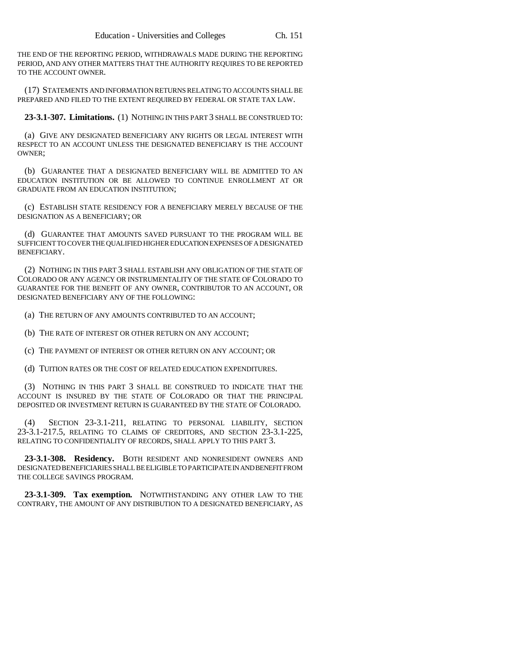THE END OF THE REPORTING PERIOD, WITHDRAWALS MADE DURING THE REPORTING PERIOD, AND ANY OTHER MATTERS THAT THE AUTHORITY REQUIRES TO BE REPORTED TO THE ACCOUNT OWNER.

(17) STATEMENTS AND INFORMATION RETURNS RELATING TO ACCOUNTS SHALL BE PREPARED AND FILED TO THE EXTENT REQUIRED BY FEDERAL OR STATE TAX LAW.

**23-3.1-307. Limitations.** (1) NOTHING IN THIS PART 3 SHALL BE CONSTRUED TO:

(a) GIVE ANY DESIGNATED BENEFICIARY ANY RIGHTS OR LEGAL INTEREST WITH RESPECT TO AN ACCOUNT UNLESS THE DESIGNATED BENEFICIARY IS THE ACCOUNT OWNER;

(b) GUARANTEE THAT A DESIGNATED BENEFICIARY WILL BE ADMITTED TO AN EDUCATION INSTITUTION OR BE ALLOWED TO CONTINUE ENROLLMENT AT OR GRADUATE FROM AN EDUCATION INSTITUTION;

(c) ESTABLISH STATE RESIDENCY FOR A BENEFICIARY MERELY BECAUSE OF THE DESIGNATION AS A BENEFICIARY; OR

(d) GUARANTEE THAT AMOUNTS SAVED PURSUANT TO THE PROGRAM WILL BE SUFFICIENT TO COVER THE QUALIFIED HIGHER EDUCATION EXPENSES OF A DESIGNATED BENEFICIARY.

(2) NOTHING IN THIS PART 3 SHALL ESTABLISH ANY OBLIGATION OF THE STATE OF COLORADO OR ANY AGENCY OR INSTRUMENTALITY OF THE STATE OF COLORADO TO GUARANTEE FOR THE BENEFIT OF ANY OWNER, CONTRIBUTOR TO AN ACCOUNT, OR DESIGNATED BENEFICIARY ANY OF THE FOLLOWING:

(a) THE RETURN OF ANY AMOUNTS CONTRIBUTED TO AN ACCOUNT;

(b) THE RATE OF INTEREST OR OTHER RETURN ON ANY ACCOUNT;

(c) THE PAYMENT OF INTEREST OR OTHER RETURN ON ANY ACCOUNT; OR

(d) TUITION RATES OR THE COST OF RELATED EDUCATION EXPENDITURES.

(3) NOTHING IN THIS PART 3 SHALL BE CONSTRUED TO INDICATE THAT THE ACCOUNT IS INSURED BY THE STATE OF COLORADO OR THAT THE PRINCIPAL DEPOSITED OR INVESTMENT RETURN IS GUARANTEED BY THE STATE OF COLORADO.

(4) SECTION 23-3.1-211, RELATING TO PERSONAL LIABILITY, SECTION 23-3.1-217.5, RELATING TO CLAIMS OF CREDITORS, AND SECTION 23-3.1-225, RELATING TO CONFIDENTIALITY OF RECORDS, SHALL APPLY TO THIS PART 3.

**23-3.1-308. Residency.** BOTH RESIDENT AND NONRESIDENT OWNERS AND DESIGNATED BENEFICIARIES SHALL BE ELIGIBLE TO PARTICIPATE IN AND BENEFIT FROM THE COLLEGE SAVINGS PROGRAM.

**23-3.1-309. Tax exemption.** NOTWITHSTANDING ANY OTHER LAW TO THE CONTRARY, THE AMOUNT OF ANY DISTRIBUTION TO A DESIGNATED BENEFICIARY, AS